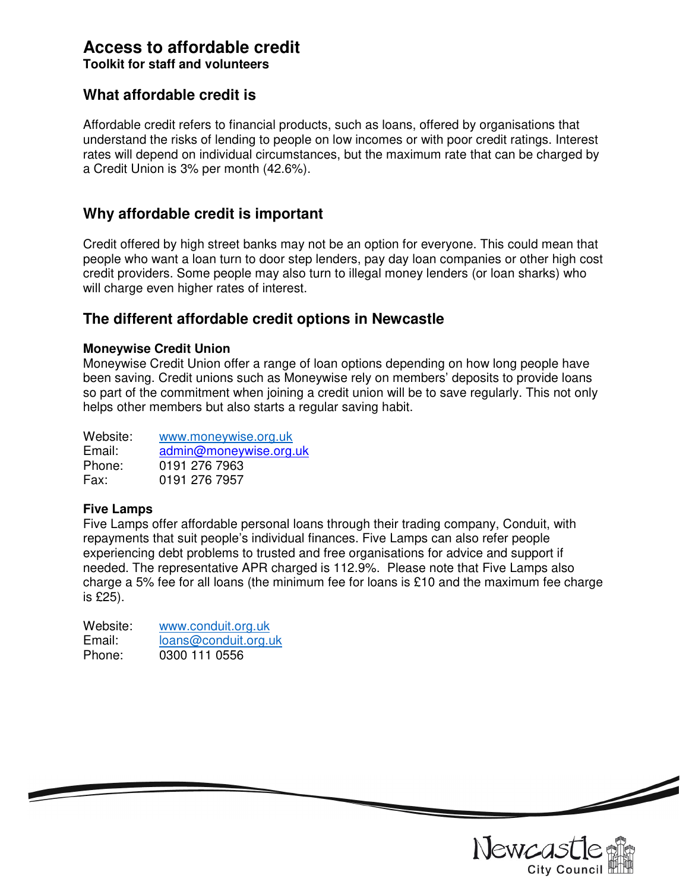# **Access to affordable credit**

**Toolkit for staff and volunteers** 

### **What affordable credit is**

Affordable credit refers to financial products, such as loans, offered by organisations that understand the risks of lending to people on low incomes or with poor credit ratings. Interest rates will depend on individual circumstances, but the maximum rate that can be charged by a Credit Union is 3% per month (42.6%).

### **Why affordable credit is important**

Credit offered by high street banks may not be an option for everyone. This could mean that people who want a loan turn to door step lenders, pay day loan companies or other high cost credit providers. Some people may also turn to illegal money lenders (or loan sharks) who will charge even higher rates of interest.

### **The different affordable credit options in Newcastle**

#### **Moneywise Credit Union**

Moneywise Credit Union offer a range of loan options depending on how long people have been saving. Credit unions such as Moneywise rely on members' deposits to provide loans so part of the commitment when joining a credit union will be to save regularly. This not only helps other members but also starts a regular saving habit.

| Website: | www.moneywise.org.uk   |
|----------|------------------------|
| Email:   | admin@moneywise.org.uk |
| Phone:   | 0191 276 7963          |
| Fax:     | 0191 276 7957          |

### **Five Lamps**

Five Lamps offer affordable personal loans through their trading company, Conduit, with repayments that suit people's individual finances. Five Lamps can also refer people experiencing debt problems to trusted and free organisations for advice and support if needed. The representative APR charged is 112.9%. Please note that Five Lamps also charge a 5% fee for all loans (the minimum fee for loans is £10 and the maximum fee charge is £25).

| Website: | www.conduit.org.uk   |
|----------|----------------------|
| Email:   | loans@conduit.org.uk |
| Phone:   | 0300 111 0556        |



<u>Single Single Single Single Single Single Single Single Single Single Single Single Single Single Single Single Single Single Single Single Single Single Single Single Single Single Single Single Single Single Single Sing</u>